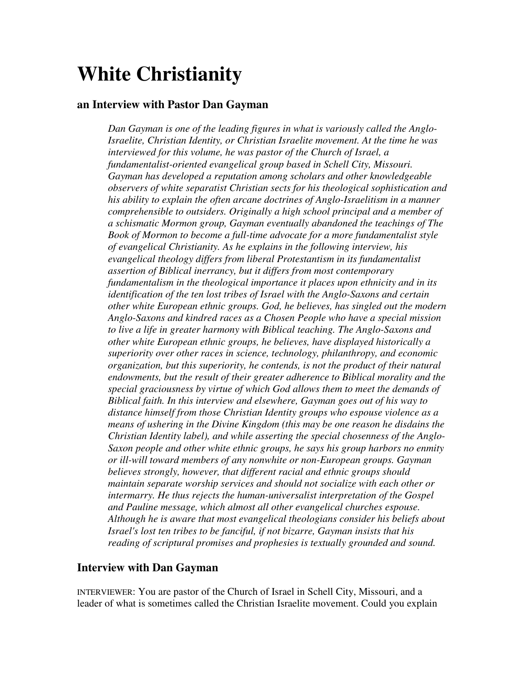## **White Christianity**

## **an Interview with Pastor Dan Gayman**

*Dan Gayman is one of the leading figures in what is variously called the Anglo-Israelite, Christian Identity, or Christian Israelite movement. At the time he was interviewed for this volume, he was pastor of the Church of Israel, a fundamentalist-oriented evangelical group based in Schell City, Missouri. Gayman has developed a reputation among scholars and other knowledgeable observers of white separatist Christian sects for his theological sophistication and his ability to explain the often arcane doctrines of Anglo-Israelitism in a manner comprehensible to outsiders. Originally a high school principal and a member of a schismatic Mormon group, Gayman eventually abandoned the teachings of The Book of Mormon to become a full-time advocate for a more fundamentalist style of evangelical Christianity. As he explains in the following interview, his evangelical theology differs from liberal Protestantism in its fundamentalist assertion of Biblical inerrancy, but it differs from most contemporary fundamentalism in the theological importance it places upon ethnicity and in its identification of the ten lost tribes of Israel with the Anglo-Saxons and certain other white European ethnic groups. God, he believes, has singled out the modern Anglo-Saxons and kindred races as a Chosen People who have a special mission to live a life in greater harmony with Biblical teaching. The Anglo-Saxons and other white European ethnic groups, he believes, have displayed historically a superiority over other races in science, technology, philanthropy, and economic organization, but this superiority, he contends, is not the product of their natural endowments, but the result of their greater adherence to Biblical morality and the special graciousness by virtue of which God allows them to meet the demands of Biblical faith. In this interview and elsewhere, Gayman goes out of his way to distance himself from those Christian Identity groups who espouse violence as a means of ushering in the Divine Kingdom (this may be one reason he disdains the Christian Identity label), and while asserting the special chosenness of the Anglo-Saxon people and other white ethnic groups, he says his group harbors no enmity or ill-will toward members of any nonwhite or non-European groups. Gayman believes strongly, however, that different racial and ethnic groups should maintain separate worship services and should not socialize with each other or intermarry. He thus rejects the human-universalist interpretation of the Gospel and Pauline message, which almost all other evangelical churches espouse. Although he is aware that most evangelical theologians consider his beliefs about Israel's lost ten tribes to be fanciful, if not bizarre, Gayman insists that his reading of scriptural promises and prophesies is textually grounded and sound.*

## **Interview with Dan Gayman**

INTERVIEWER: You are pastor of the Church of Israel in Schell City, Missouri, and a leader of what is sometimes called the Christian Israelite movement. Could you explain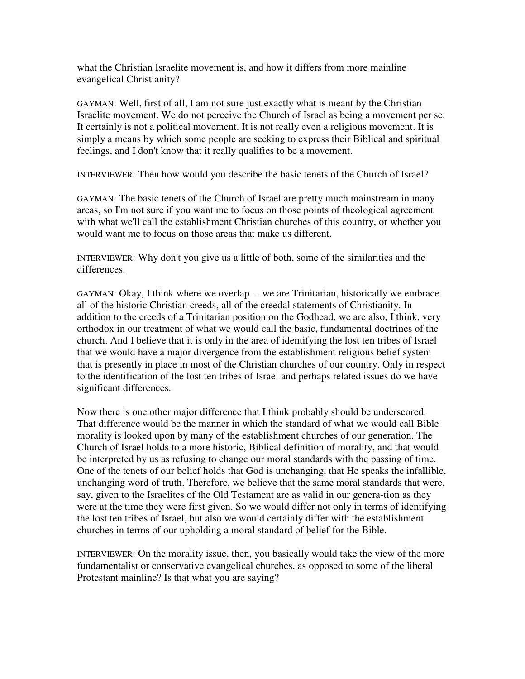what the Christian Israelite movement is, and how it differs from more mainline evangelical Christianity?

GAYMAN: Well, first of all, I am not sure just exactly what is meant by the Christian Israelite movement. We do not perceive the Church of Israel as being a movement per se. It certainly is not a political movement. It is not really even a religious movement. It is simply a means by which some people are seeking to express their Biblical and spiritual feelings, and I don't know that it really qualifies to be a movement.

INTERVIEWER: Then how would you describe the basic tenets of the Church of Israel?

GAYMAN: The basic tenets of the Church of Israel are pretty much mainstream in many areas, so I'm not sure if you want me to focus on those points of theological agreement with what we'll call the establishment Christian churches of this country, or whether you would want me to focus on those areas that make us different.

INTERVIEWER: Why don't you give us a little of both, some of the similarities and the differences.

GAYMAN: Okay, I think where we overlap ... we are Trinitarian, historically we embrace all of the historic Christian creeds, all of the creedal statements of Christianity. In addition to the creeds of a Trinitarian position on the Godhead, we are also, I think, very orthodox in our treatment of what we would call the basic, fundamental doctrines of the church. And I believe that it is only in the area of identifying the lost ten tribes of Israel that we would have a major divergence from the establishment religious belief system that is presently in place in most of the Christian churches of our country. Only in respect to the identification of the lost ten tribes of Israel and perhaps related issues do we have significant differences.

Now there is one other major difference that I think probably should be underscored. That difference would be the manner in which the standard of what we would call Bible morality is looked upon by many of the establishment churches of our generation. The Church of Israel holds to a more historic, Biblical definition of morality, and that would be interpreted by us as refusing to change our moral standards with the passing of time. One of the tenets of our belief holds that God is unchanging, that He speaks the infallible, unchanging word of truth. Therefore, we believe that the same moral standards that were, say, given to the Israelites of the Old Testament are as valid in our genera-tion as they were at the time they were first given. So we would differ not only in terms of identifying the lost ten tribes of Israel, but also we would certainly differ with the establishment churches in terms of our upholding a moral standard of belief for the Bible.

INTERVIEWER: On the morality issue, then, you basically would take the view of the more fundamentalist or conservative evangelical churches, as opposed to some of the liberal Protestant mainline? Is that what you are saying?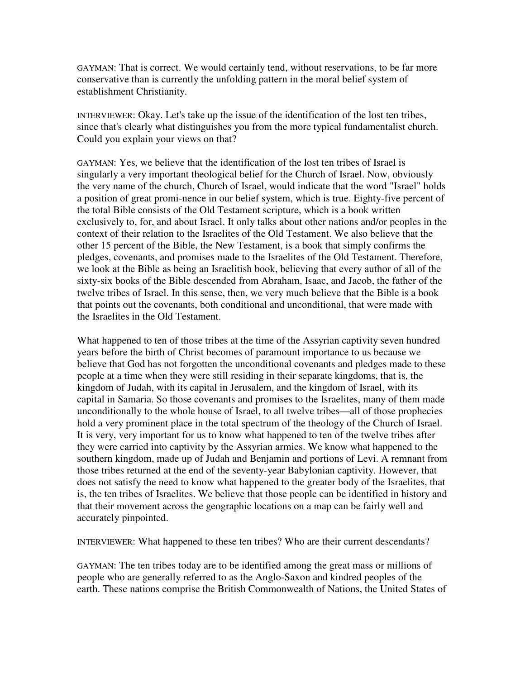GAYMAN: That is correct. We would certainly tend, without reservations, to be far more conservative than is currently the unfolding pattern in the moral belief system of establishment Christianity.

INTERVIEWER: Okay. Let's take up the issue of the identification of the lost ten tribes, since that's clearly what distinguishes you from the more typical fundamentalist church. Could you explain your views on that?

GAYMAN: Yes, we believe that the identification of the lost ten tribes of Israel is singularly a very important theological belief for the Church of Israel. Now, obviously the very name of the church, Church of Israel, would indicate that the word "Israel" holds a position of great promi-nence in our belief system, which is true. Eighty-five percent of the total Bible consists of the Old Testament scripture, which is a book written exclusively to, for, and about Israel. It only talks about other nations and/or peoples in the context of their relation to the Israelites of the Old Testament. We also believe that the other 15 percent of the Bible, the New Testament, is a book that simply confirms the pledges, covenants, and promises made to the Israelites of the Old Testament. Therefore, we look at the Bible as being an Israelitish book, believing that every author of all of the sixty-six books of the Bible descended from Abraham, Isaac, and Jacob, the father of the twelve tribes of Israel. In this sense, then, we very much believe that the Bible is a book that points out the covenants, both conditional and unconditional, that were made with the Israelites in the Old Testament.

What happened to ten of those tribes at the time of the Assyrian captivity seven hundred years before the birth of Christ becomes of paramount importance to us because we believe that God has not forgotten the unconditional covenants and pledges made to these people at a time when they were still residing in their separate kingdoms, that is, the kingdom of Judah, with its capital in Jerusalem, and the kingdom of Israel, with its capital in Samaria. So those covenants and promises to the Israelites, many of them made unconditionally to the whole house of Israel, to all twelve tribes—all of those prophecies hold a very prominent place in the total spectrum of the theology of the Church of Israel. It is very, very important for us to know what happened to ten of the twelve tribes after they were carried into captivity by the Assyrian armies. We know what happened to the southern kingdom, made up of Judah and Benjamin and portions of Levi. A remnant from those tribes returned at the end of the seventy-year Babylonian captivity. However, that does not satisfy the need to know what happened to the greater body of the Israelites, that is, the ten tribes of Israelites. We believe that those people can be identified in history and that their movement across the geographic locations on a map can be fairly well and accurately pinpointed.

INTERVIEWER: What happened to these ten tribes? Who are their current descendants?

GAYMAN: The ten tribes today are to be identified among the great mass or millions of people who are generally referred to as the Anglo-Saxon and kindred peoples of the earth. These nations comprise the British Commonwealth of Nations, the United States of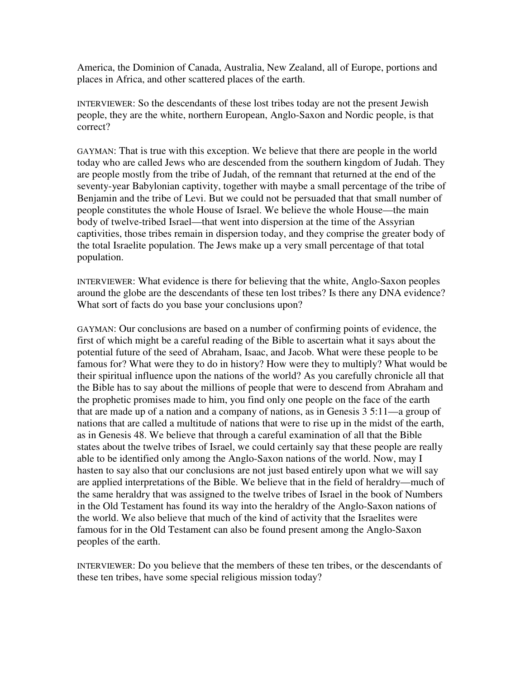America, the Dominion of Canada, Australia, New Zealand, all of Europe, portions and places in Africa, and other scattered places of the earth.

INTERVIEWER: So the descendants of these lost tribes today are not the present Jewish people, they are the white, northern European, Anglo-Saxon and Nordic people, is that correct?

GAYMAN: That is true with this exception. We believe that there are people in the world today who are called Jews who are descended from the southern kingdom of Judah. They are people mostly from the tribe of Judah, of the remnant that returned at the end of the seventy-year Babylonian captivity, together with maybe a small percentage of the tribe of Benjamin and the tribe of Levi. But we could not be persuaded that that small number of people constitutes the whole House of Israel. We believe the whole House—the main body of twelve-tribed Israel—that went into dispersion at the time of the Assyrian captivities, those tribes remain in dispersion today, and they comprise the greater body of the total Israelite population. The Jews make up a very small percentage of that total population.

INTERVIEWER: What evidence is there for believing that the white, Anglo-Saxon peoples around the globe are the descendants of these ten lost tribes? Is there any DNA evidence? What sort of facts do you base your conclusions upon?

GAYMAN: Our conclusions are based on a number of confirming points of evidence, the first of which might be a careful reading of the Bible to ascertain what it says about the potential future of the seed of Abraham, Isaac, and Jacob. What were these people to be famous for? What were they to do in history? How were they to multiply? What would be their spiritual influence upon the nations of the world? As you carefully chronicle all that the Bible has to say about the millions of people that were to descend from Abraham and the prophetic promises made to him, you find only one people on the face of the earth that are made up of a nation and a company of nations, as in Genesis 3 5:11—a group of nations that are called a multitude of nations that were to rise up in the midst of the earth, as in Genesis 48. We believe that through a careful examination of all that the Bible states about the twelve tribes of Israel, we could certainly say that these people are really able to be identified only among the Anglo-Saxon nations of the world. Now, may I hasten to say also that our conclusions are not just based entirely upon what we will say are applied interpretations of the Bible. We believe that in the field of heraldry—much of the same heraldry that was assigned to the twelve tribes of Israel in the book of Numbers in the Old Testament has found its way into the heraldry of the Anglo-Saxon nations of the world. We also believe that much of the kind of activity that the Israelites were famous for in the Old Testament can also be found present among the Anglo-Saxon peoples of the earth.

INTERVIEWER: Do you believe that the members of these ten tribes, or the descendants of these ten tribes, have some special religious mission today?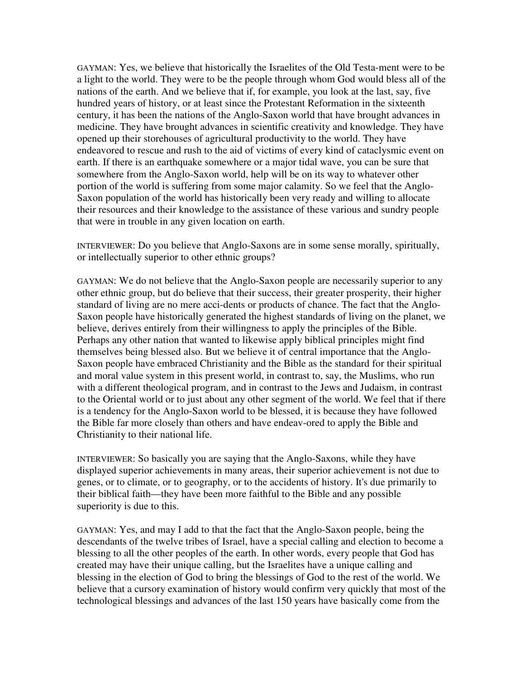GAYMAN: Yes, we believe that historically the Israelites of the Old Testa-ment were to be a light to the world. They were to be the people through whom God would bless all of the nations of the earth. And we believe that if, for example, you look at the last, say, five hundred years of history, or at least since the Protestant Reformation in the sixteenth century, it has been the nations of the Anglo-Saxon world that have brought advances in medicine. They have brought advances in scientific creativity and knowledge. They have opened up their storehouses of agricultural productivity to the world. They have endeavored to rescue and rush to the aid of victims of every kind of cataclysmic event on earth. If there is an earthquake somewhere or a major tidal wave, you can be sure that somewhere from the Anglo-Saxon world, help will be on its way to whatever other portion of the world is suffering from some major calamity. So we feel that the Anglo-Saxon population of the world has historically been very ready and willing to allocate their resources and their knowledge to the assistance of these various and sundry people that were in trouble in any given location on earth.

INTERVIEWER: Do you believe that Anglo-Saxons are in some sense morally, spiritually, or intellectually superior to other ethnic groups?

GAYMAN: We do not believe that the Anglo-Saxon people are necessarily superior to any other ethnic group, but do believe that their success, their greater prosperity, their higher standard of living are no mere acci-dents or products of chance. The fact that the Anglo-Saxon people have historically generated the highest standards of living on the planet, we believe, derives entirely from their willingness to apply the principles of the Bible. Perhaps any other nation that wanted to likewise apply biblical principles might find themselves being blessed also. But we believe it of central importance that the Anglo-Saxon people have embraced Christianity and the Bible as the standard for their spiritual and moral value system in this present world, in contrast to, say, the Muslims, who run with a different theological program, and in contrast to the Jews and Judaism, in contrast to the Oriental world or to just about any other segment of the world. We feel that if there is a tendency for the Anglo-Saxon world to be blessed, it is because they have followed the Bible far more closely than others and have endeav-ored to apply the Bible and Christianity to their national life.

INTERVIEWER: So basically you are saying that the Anglo-Saxons, while they have displayed superior achievements in many areas, their superior achievement is not due to genes, or to climate, or to geography, or to the accidents of history. It's due primarily to their biblical faith—they have been more faithful to the Bible and any possible superiority is due to this.

GAYMAN: Yes, and may I add to that the fact that the Anglo-Saxon people, being the descendants of the twelve tribes of Israel, have a special calling and election to become a blessing to all the other peoples of the earth. In other words, every people that God has created may have their unique calling, but the Israelites have a unique calling and blessing in the election of God to bring the blessings of God to the rest of the world. We believe that a cursory examination of history would confirm very quickly that most of the technological blessings and advances of the last 150 years have basically come from the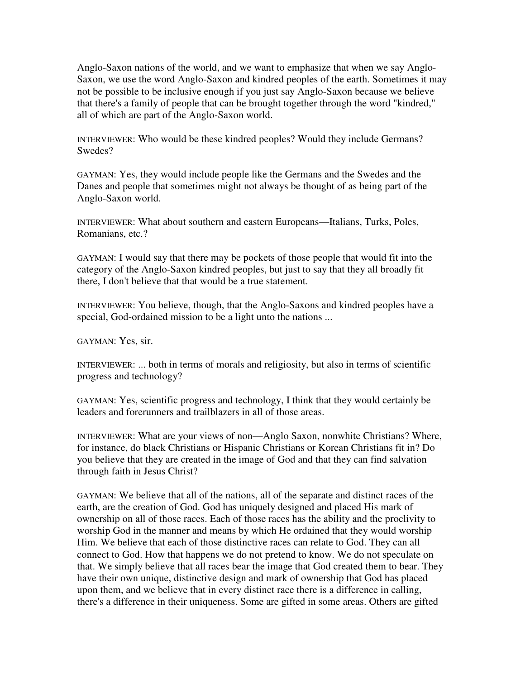Anglo-Saxon nations of the world, and we want to emphasize that when we say Anglo-Saxon, we use the word Anglo-Saxon and kindred peoples of the earth. Sometimes it may not be possible to be inclusive enough if you just say Anglo-Saxon because we believe that there's a family of people that can be brought together through the word "kindred," all of which are part of the Anglo-Saxon world.

INTERVIEWER: Who would be these kindred peoples? Would they include Germans? Swedes?

GAYMAN: Yes, they would include people like the Germans and the Swedes and the Danes and people that sometimes might not always be thought of as being part of the Anglo-Saxon world.

INTERVIEWER: What about southern and eastern Europeans—Italians, Turks, Poles, Romanians, etc.?

GAYMAN: I would say that there may be pockets of those people that would fit into the category of the Anglo-Saxon kindred peoples, but just to say that they all broadly fit there, I don't believe that that would be a true statement.

INTERVIEWER: You believe, though, that the Anglo-Saxons and kindred peoples have a special, God-ordained mission to be a light unto the nations ...

GAYMAN: Yes, sir.

INTERVIEWER: ... both in terms of morals and religiosity, but also in terms of scientific progress and technology?

GAYMAN: Yes, scientific progress and technology, I think that they would certainly be leaders and forerunners and trailblazers in all of those areas.

INTERVIEWER: What are your views of non—Anglo Saxon, nonwhite Christians? Where, for instance, do black Christians or Hispanic Christians or Korean Christians fit in? Do you believe that they are created in the image of God and that they can find salvation through faith in Jesus Christ?

GAYMAN: We believe that all of the nations, all of the separate and distinct races of the earth, are the creation of God. God has uniquely designed and placed His mark of ownership on all of those races. Each of those races has the ability and the proclivity to worship God in the manner and means by which He ordained that they would worship Him. We believe that each of those distinctive races can relate to God. They can all connect to God. How that happens we do not pretend to know. We do not speculate on that. We simply believe that all races bear the image that God created them to bear. They have their own unique, distinctive design and mark of ownership that God has placed upon them, and we believe that in every distinct race there is a difference in calling, there's a difference in their uniqueness. Some are gifted in some areas. Others are gifted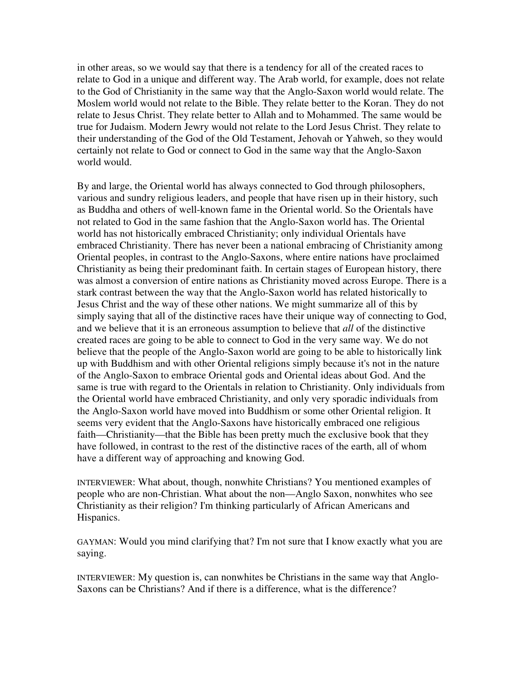in other areas, so we would say that there is a tendency for all of the created races to relate to God in a unique and different way. The Arab world, for example, does not relate to the God of Christianity in the same way that the Anglo-Saxon world would relate. The Moslem world would not relate to the Bible. They relate better to the Koran. They do not relate to Jesus Christ. They relate better to Allah and to Mohammed. The same would be true for Judaism. Modern Jewry would not relate to the Lord Jesus Christ. They relate to their understanding of the God of the Old Testament, Jehovah or Yahweh, so they would certainly not relate to God or connect to God in the same way that the Anglo-Saxon world would.

By and large, the Oriental world has always connected to God through philosophers, various and sundry religious leaders, and people that have risen up in their history, such as Buddha and others of well-known fame in the Oriental world. So the Orientals have not related to God in the same fashion that the Anglo-Saxon world has. The Oriental world has not historically embraced Christianity; only individual Orientals have embraced Christianity. There has never been a national embracing of Christianity among Oriental peoples, in contrast to the Anglo-Saxons, where entire nations have proclaimed Christianity as being their predominant faith. In certain stages of European history, there was almost a conversion of entire nations as Christianity moved across Europe. There is a stark contrast between the way that the Anglo-Saxon world has related historically to Jesus Christ and the way of these other nations. We might summarize all of this by simply saying that all of the distinctive races have their unique way of connecting to God, and we believe that it is an erroneous assumption to believe that *all* of the distinctive created races are going to be able to connect to God in the very same way. We do not believe that the people of the Anglo-Saxon world are going to be able to historically link up with Buddhism and with other Oriental religions simply because it's not in the nature of the Anglo-Saxon to embrace Oriental gods and Oriental ideas about God. And the same is true with regard to the Orientals in relation to Christianity. Only individuals from the Oriental world have embraced Christianity, and only very sporadic individuals from the Anglo-Saxon world have moved into Buddhism or some other Oriental religion. It seems very evident that the Anglo-Saxons have historically embraced one religious faith—Christianity—that the Bible has been pretty much the exclusive book that they have followed, in contrast to the rest of the distinctive races of the earth, all of whom have a different way of approaching and knowing God.

INTERVIEWER: What about, though, nonwhite Christians? You mentioned examples of people who are non-Christian. What about the non—Anglo Saxon, nonwhites who see Christianity as their religion? I'm thinking particularly of African Americans and Hispanics.

GAYMAN: Would you mind clarifying that? I'm not sure that I know exactly what you are saying.

INTERVIEWER: My question is, can nonwhites be Christians in the same way that Anglo-Saxons can be Christians? And if there is a difference, what is the difference?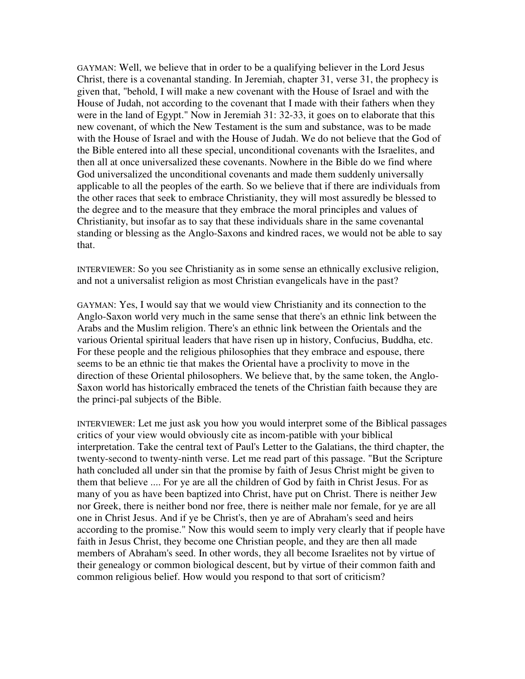GAYMAN: Well, we believe that in order to be a qualifying believer in the Lord Jesus Christ, there is a covenantal standing. In Jeremiah, chapter 31, verse 31, the prophecy is given that, "behold, I will make a new covenant with the House of Israel and with the House of Judah, not according to the covenant that I made with their fathers when they were in the land of Egypt." Now in Jeremiah 31: 32-33, it goes on to elaborate that this new covenant, of which the New Testament is the sum and substance, was to be made with the House of Israel and with the House of Judah. We do not believe that the God of the Bible entered into all these special, unconditional covenants with the Israelites, and then all at once universalized these covenants. Nowhere in the Bible do we find where God universalized the unconditional covenants and made them suddenly universally applicable to all the peoples of the earth. So we believe that if there are individuals from the other races that seek to embrace Christianity, they will most assuredly be blessed to the degree and to the measure that they embrace the moral principles and values of Christianity, but insofar as to say that these individuals share in the same covenantal standing or blessing as the Anglo-Saxons and kindred races, we would not be able to say that.

INTERVIEWER: So you see Christianity as in some sense an ethnically exclusive religion, and not a universalist religion as most Christian evangelicals have in the past?

GAYMAN: Yes, I would say that we would view Christianity and its connection to the Anglo-Saxon world very much in the same sense that there's an ethnic link between the Arabs and the Muslim religion. There's an ethnic link between the Orientals and the various Oriental spiritual leaders that have risen up in history, Confucius, Buddha, etc. For these people and the religious philosophies that they embrace and espouse, there seems to be an ethnic tie that makes the Oriental have a proclivity to move in the direction of these Oriental philosophers. We believe that, by the same token, the Anglo-Saxon world has historically embraced the tenets of the Christian faith because they are the princi-pal subjects of the Bible.

INTERVIEWER: Let me just ask you how you would interpret some of the Biblical passages critics of your view would obviously cite as incom-patible with your biblical interpretation. Take the central text of Paul's Letter to the Galatians, the third chapter, the twenty-second to twenty-ninth verse. Let me read part of this passage. "But the Scripture hath concluded all under sin that the promise by faith of Jesus Christ might be given to them that believe .... For ye are all the children of God by faith in Christ Jesus. For as many of you as have been baptized into Christ, have put on Christ. There is neither Jew nor Greek, there is neither bond nor free, there is neither male nor female, for ye are all one in Christ Jesus. And if ye be Christ's, then ye are of Abraham's seed and heirs according to the promise." Now this would seem to imply very clearly that if people have faith in Jesus Christ, they become one Christian people, and they are then all made members of Abraham's seed. In other words, they all become Israelites not by virtue of their genealogy or common biological descent, but by virtue of their common faith and common religious belief. How would you respond to that sort of criticism?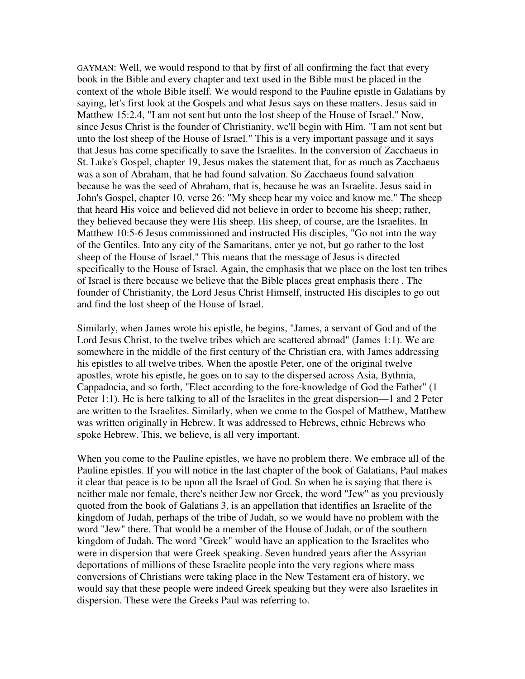GAYMAN: Well, we would respond to that by first of all confirming the fact that every book in the Bible and every chapter and text used in the Bible must be placed in the context of the whole Bible itself. We would respond to the Pauline epistle in Galatians by saying, let's first look at the Gospels and what Jesus says on these matters. Jesus said in Matthew 15:2.4, "I am not sent but unto the lost sheep of the House of Israel." Now, since Jesus Christ is the founder of Christianity, we'll begin with Him. "I am not sent but unto the lost sheep of the House of Israel." This is a very important passage and it says that Jesus has come specifically to save the Israelites. In the conversion of Zacchaeus in St. Luke's Gospel, chapter 19, Jesus makes the statement that, for as much as Zacchaeus was a son of Abraham, that he had found salvation. So Zacchaeus found salvation because he was the seed of Abraham, that is, because he was an Israelite. Jesus said in John's Gospel, chapter 10, verse 26: "My sheep hear my voice and know me." The sheep that heard His voice and believed did not believe in order to become his sheep; rather, they believed because they were His sheep. His sheep, of course, are the Israelites. In Matthew 10:5-6 Jesus commissioned and instructed His disciples, "Go not into the way of the Gentiles. Into any city of the Samaritans, enter ye not, but go rather to the lost sheep of the House of Israel." This means that the message of Jesus is directed specifically to the House of Israel. Again, the emphasis that we place on the lost ten tribes of Israel is there because we believe that the Bible places great emphasis there . The founder of Christianity, the Lord Jesus Christ Himself, instructed His disciples to go out and find the lost sheep of the House of Israel.

Similarly, when James wrote his epistle, he begins, "James, a servant of God and of the Lord Jesus Christ, to the twelve tribes which are scattered abroad" (James 1:1). We are somewhere in the middle of the first century of the Christian era, with James addressing his epistles to all twelve tribes. When the apostle Peter, one of the original twelve apostles, wrote his epistle, he goes on to say to the dispersed across Asia, Bythnia, Cappadocia, and so forth, "Elect according to the fore-knowledge of God the Father" (1 Peter 1:1). He is here talking to all of the Israelites in the great dispersion—1 and 2 Peter are written to the Israelites. Similarly, when we come to the Gospel of Matthew, Matthew was written originally in Hebrew. It was addressed to Hebrews, ethnic Hebrews who spoke Hebrew. This, we believe, is all very important.

When you come to the Pauline epistles, we have no problem there. We embrace all of the Pauline epistles. If you will notice in the last chapter of the book of Galatians, Paul makes it clear that peace is to be upon all the Israel of God. So when he is saying that there is neither male nor female, there's neither Jew nor Greek, the word "Jew" as you previously quoted from the book of Galatians 3, is an appellation that identifies an Israelite of the kingdom of Judah, perhaps of the tribe of Judah, so we would have no problem with the word "Jew" there. That would be a member of the House of Judah, or of the southern kingdom of Judah. The word "Greek" would have an application to the Israelites who were in dispersion that were Greek speaking. Seven hundred years after the Assyrian deportations of millions of these Israelite people into the very regions where mass conversions of Christians were taking place in the New Testament era of history, we would say that these people were indeed Greek speaking but they were also Israelites in dispersion. These were the Greeks Paul was referring to.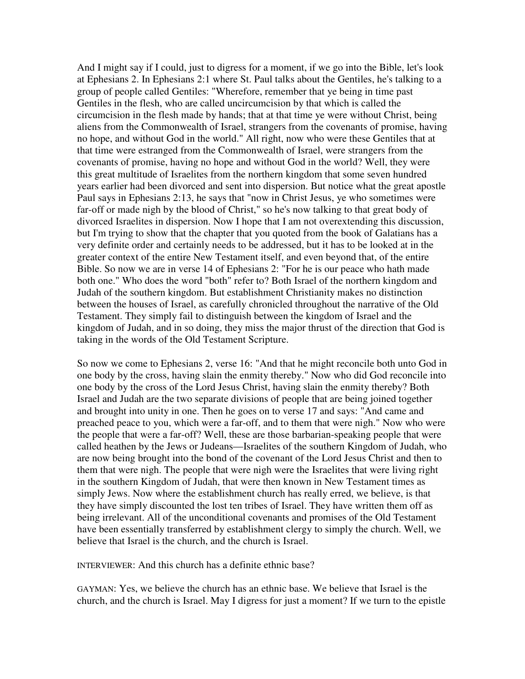And I might say if I could, just to digress for a moment, if we go into the Bible, let's look at Ephesians 2. In Ephesians 2:1 where St. Paul talks about the Gentiles, he's talking to a group of people called Gentiles: "Wherefore, remember that ye being in time past Gentiles in the flesh, who are called uncircumcision by that which is called the circumcision in the flesh made by hands; that at that time ye were without Christ, being aliens from the Commonwealth of Israel, strangers from the covenants of promise, having no hope, and without God in the world." All right, now who were these Gentiles that at that time were estranged from the Commonwealth of Israel, were strangers from the covenants of promise, having no hope and without God in the world? Well, they were this great multitude of Israelites from the northern kingdom that some seven hundred years earlier had been divorced and sent into dispersion. But notice what the great apostle Paul says in Ephesians 2:13, he says that "now in Christ Jesus, ye who sometimes were far-off or made nigh by the blood of Christ," so he's now talking to that great body of divorced Israelites in dispersion. Now I hope that I am not overextending this discussion, but I'm trying to show that the chapter that you quoted from the book of Galatians has a very definite order and certainly needs to be addressed, but it has to be looked at in the greater context of the entire New Testament itself, and even beyond that, of the entire Bible. So now we are in verse 14 of Ephesians 2: "For he is our peace who hath made both one." Who does the word "both" refer to? Both Israel of the northern kingdom and Judah of the southern kingdom. But establishment Christianity makes no distinction between the houses of Israel, as carefully chronicled throughout the narrative of the Old Testament. They simply fail to distinguish between the kingdom of Israel and the kingdom of Judah, and in so doing, they miss the major thrust of the direction that God is taking in the words of the Old Testament Scripture.

So now we come to Ephesians 2, verse 16: "And that he might reconcile both unto God in one body by the cross, having slain the enmity thereby." Now who did God reconcile into one body by the cross of the Lord Jesus Christ, having slain the enmity thereby? Both Israel and Judah are the two separate divisions of people that are being joined together and brought into unity in one. Then he goes on to verse 17 and says: "And came and preached peace to you, which were a far-off, and to them that were nigh." Now who were the people that were a far-off? Well, these are those barbarian-speaking people that were called heathen by the Jews or Judeans—Israelites of the southern Kingdom of Judah, who are now being brought into the bond of the covenant of the Lord Jesus Christ and then to them that were nigh. The people that were nigh were the Israelites that were living right in the southern Kingdom of Judah, that were then known in New Testament times as simply Jews. Now where the establishment church has really erred, we believe, is that they have simply discounted the lost ten tribes of Israel. They have written them off as being irrelevant. All of the unconditional covenants and promises of the Old Testament have been essentially transferred by establishment clergy to simply the church. Well, we believe that Israel is the church, and the church is Israel.

INTERVIEWER: And this church has a definite ethnic base?

GAYMAN: Yes, we believe the church has an ethnic base. We believe that Israel is the church, and the church is Israel. May I digress for just a moment? If we turn to the epistle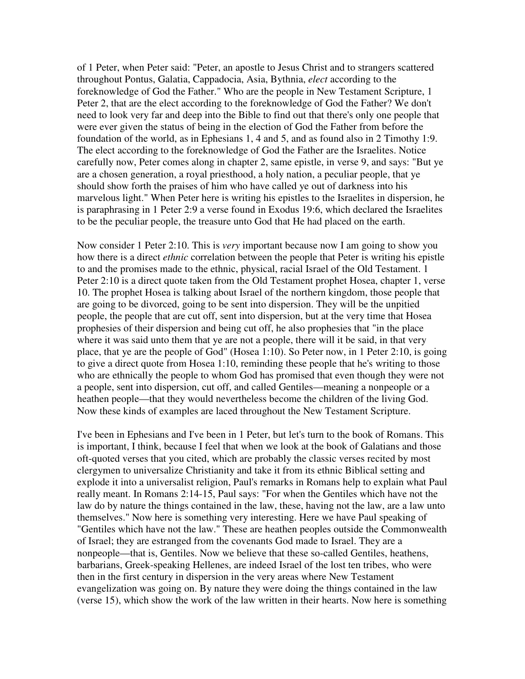of 1 Peter, when Peter said: "Peter, an apostle to Jesus Christ and to strangers scattered throughout Pontus, Galatia, Cappadocia, Asia, Bythnia, *elect* according to the foreknowledge of God the Father." Who are the people in New Testament Scripture, 1 Peter 2, that are the elect according to the foreknowledge of God the Father? We don't need to look very far and deep into the Bible to find out that there's only one people that were ever given the status of being in the election of God the Father from before the foundation of the world, as in Ephesians 1, 4 and 5, and as found also in 2 Timothy 1:9. The elect according to the foreknowledge of God the Father are the Israelites. Notice carefully now, Peter comes along in chapter 2, same epistle, in verse 9, and says: "But ye are a chosen generation, a royal priesthood, a holy nation, a peculiar people, that ye should show forth the praises of him who have called ye out of darkness into his marvelous light." When Peter here is writing his epistles to the Israelites in dispersion, he is paraphrasing in 1 Peter 2:9 a verse found in Exodus 19:6, which declared the Israelites to be the peculiar people, the treasure unto God that He had placed on the earth.

Now consider 1 Peter 2:10. This is *very* important because now I am going to show you how there is a direct *ethnic* correlation between the people that Peter is writing his epistle to and the promises made to the ethnic, physical, racial Israel of the Old Testament. 1 Peter 2:10 is a direct quote taken from the Old Testament prophet Hosea, chapter 1, verse 10. The prophet Hosea is talking about Israel of the northern kingdom, those people that are going to be divorced, going to be sent into dispersion. They will be the unpitied people, the people that are cut off, sent into dispersion, but at the very time that Hosea prophesies of their dispersion and being cut off, he also prophesies that "in the place where it was said unto them that ye are not a people, there will it be said, in that very place, that ye are the people of God" (Hosea 1:10). So Peter now, in 1 Peter 2:10, is going to give a direct quote from Hosea 1:10, reminding these people that he's writing to those who are ethnically the people to whom God has promised that even though they were not a people, sent into dispersion, cut off, and called Gentiles—meaning a nonpeople or a heathen people—that they would nevertheless become the children of the living God. Now these kinds of examples are laced throughout the New Testament Scripture.

I've been in Ephesians and I've been in 1 Peter, but let's turn to the book of Romans. This is important, I think, because I feel that when we look at the book of Galatians and those oft-quoted verses that you cited, which are probably the classic verses recited by most clergymen to universalize Christianity and take it from its ethnic Biblical setting and explode it into a universalist religion, Paul's remarks in Romans help to explain what Paul really meant. In Romans 2:14-15, Paul says: "For when the Gentiles which have not the law do by nature the things contained in the law, these, having not the law, are a law unto themselves." Now here is something very interesting. Here we have Paul speaking of "Gentiles which have not the law." These are heathen peoples outside the Commonwealth of Israel; they are estranged from the covenants God made to Israel. They are a nonpeople—that is, Gentiles. Now we believe that these so-called Gentiles, heathens, barbarians, Greek-speaking Hellenes, are indeed Israel of the lost ten tribes, who were then in the first century in dispersion in the very areas where New Testament evangelization was going on. By nature they were doing the things contained in the law (verse 15), which show the work of the law written in their hearts. Now here is something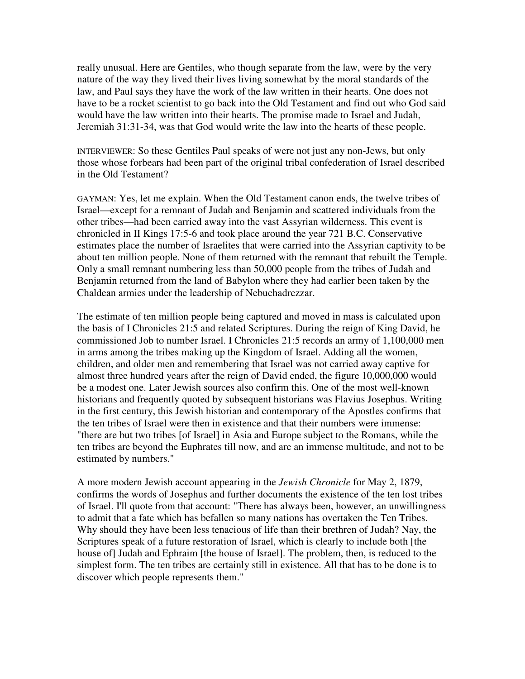really unusual. Here are Gentiles, who though separate from the law, were by the very nature of the way they lived their lives living somewhat by the moral standards of the law, and Paul says they have the work of the law written in their hearts. One does not have to be a rocket scientist to go back into the Old Testament and find out who God said would have the law written into their hearts. The promise made to Israel and Judah, Jeremiah 31:31-34, was that God would write the law into the hearts of these people.

INTERVIEWER: So these Gentiles Paul speaks of were not just any non-Jews, but only those whose forbears had been part of the original tribal confederation of Israel described in the Old Testament?

GAYMAN: Yes, let me explain. When the Old Testament canon ends, the twelve tribes of Israel—except for a remnant of Judah and Benjamin and scattered individuals from the other tribes—had been carried away into the vast Assyrian wilderness. This event is chronicled in II Kings 17:5-6 and took place around the year 721 B.C. Conservative estimates place the number of Israelites that were carried into the Assyrian captivity to be about ten million people. None of them returned with the remnant that rebuilt the Temple. Only a small remnant numbering less than 50,000 people from the tribes of Judah and Benjamin returned from the land of Babylon where they had earlier been taken by the Chaldean armies under the leadership of Nebuchadrezzar.

The estimate of ten million people being captured and moved in mass is calculated upon the basis of I Chronicles 21:5 and related Scriptures. During the reign of King David, he commissioned Job to number Israel. I Chronicles 21:5 records an army of 1,100,000 men in arms among the tribes making up the Kingdom of Israel. Adding all the women, children, and older men and remembering that Israel was not carried away captive for almost three hundred years after the reign of David ended, the figure 10,000,000 would be a modest one. Later Jewish sources also confirm this. One of the most well-known historians and frequently quoted by subsequent historians was Flavius Josephus. Writing in the first century, this Jewish historian and contemporary of the Apostles confirms that the ten tribes of Israel were then in existence and that their numbers were immense: "there are but two tribes [of Israel] in Asia and Europe subject to the Romans, while the ten tribes are beyond the Euphrates till now, and are an immense multitude, and not to be estimated by numbers."

A more modern Jewish account appearing in the *Jewish Chronicle* for May 2, 1879, confirms the words of Josephus and further documents the existence of the ten lost tribes of Israel. I'll quote from that account: "There has always been, however, an unwillingness to admit that a fate which has befallen so many nations has overtaken the Ten Tribes. Why should they have been less tenacious of life than their brethren of Judah? Nay, the Scriptures speak of a future restoration of Israel, which is clearly to include both [the house of] Judah and Ephraim [the house of Israel]. The problem, then, is reduced to the simplest form. The ten tribes are certainly still in existence. All that has to be done is to discover which people represents them."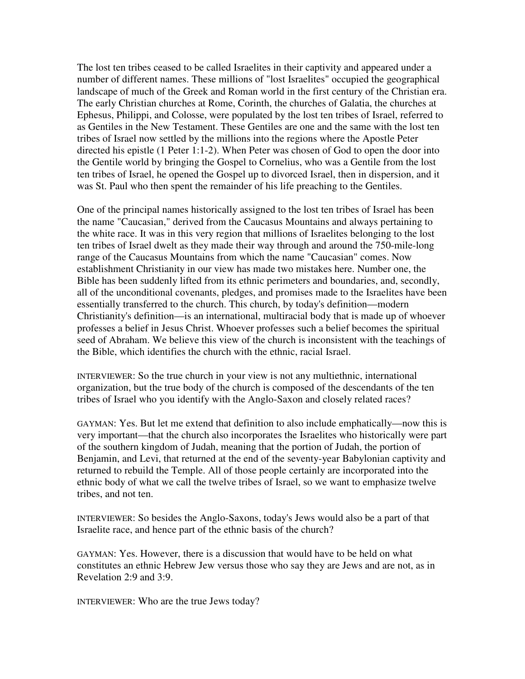The lost ten tribes ceased to be called Israelites in their captivity and appeared under a number of different names. These millions of "lost Israelites" occupied the geographical landscape of much of the Greek and Roman world in the first century of the Christian era. The early Christian churches at Rome, Corinth, the churches of Galatia, the churches at Ephesus, Philippi, and Colosse, were populated by the lost ten tribes of Israel, referred to as Gentiles in the New Testament. These Gentiles are one and the same with the lost ten tribes of Israel now settled by the millions into the regions where the Apostle Peter directed his epistle (1 Peter 1:1-2). When Peter was chosen of God to open the door into the Gentile world by bringing the Gospel to Cornelius, who was a Gentile from the lost ten tribes of Israel, he opened the Gospel up to divorced Israel, then in dispersion, and it was St. Paul who then spent the remainder of his life preaching to the Gentiles.

One of the principal names historically assigned to the lost ten tribes of Israel has been the name "Caucasian," derived from the Caucasus Mountains and always pertaining to the white race. It was in this very region that millions of Israelites belonging to the lost ten tribes of Israel dwelt as they made their way through and around the 750-mile-long range of the Caucasus Mountains from which the name "Caucasian" comes. Now establishment Christianity in our view has made two mistakes here. Number one, the Bible has been suddenly lifted from its ethnic perimeters and boundaries, and, secondly, all of the unconditional covenants, pledges, and promises made to the Israelites have been essentially transferred to the church. This church, by today's definition—modern Christianity's definition—is an international, multiracial body that is made up of whoever professes a belief in Jesus Christ. Whoever professes such a belief becomes the spiritual seed of Abraham. We believe this view of the church is inconsistent with the teachings of the Bible, which identifies the church with the ethnic, racial Israel.

INTERVIEWER: So the true church in your view is not any multiethnic, international organization, but the true body of the church is composed of the descendants of the ten tribes of Israel who you identify with the Anglo-Saxon and closely related races?

GAYMAN: Yes. But let me extend that definition to also include emphatically—now this is very important—that the church also incorporates the Israelites who historically were part of the southern kingdom of Judah, meaning that the portion of Judah, the portion of Benjamin, and Levi, that returned at the end of the seventy-year Babylonian captivity and returned to rebuild the Temple. All of those people certainly are incorporated into the ethnic body of what we call the twelve tribes of Israel, so we want to emphasize twelve tribes, and not ten.

INTERVIEWER: So besides the Anglo-Saxons, today's Jews would also be a part of that Israelite race, and hence part of the ethnic basis of the church?

GAYMAN: Yes. However, there is a discussion that would have to be held on what constitutes an ethnic Hebrew Jew versus those who say they are Jews and are not, as in Revelation 2:9 and 3:9.

INTERVIEWER: Who are the true Jews today?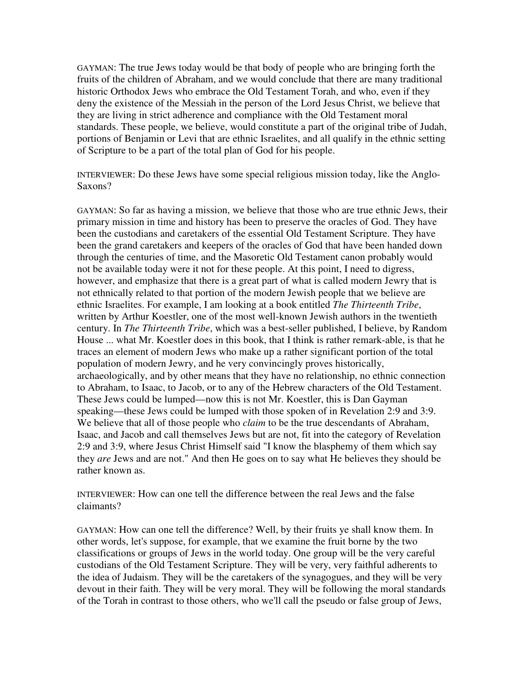GAYMAN: The true Jews today would be that body of people who are bringing forth the fruits of the children of Abraham, and we would conclude that there are many traditional historic Orthodox Jews who embrace the Old Testament Torah, and who, even if they deny the existence of the Messiah in the person of the Lord Jesus Christ, we believe that they are living in strict adherence and compliance with the Old Testament moral standards. These people, we believe, would constitute a part of the original tribe of Judah, portions of Benjamin or Levi that are ethnic Israelites, and all qualify in the ethnic setting of Scripture to be a part of the total plan of God for his people.

INTERVIEWER: Do these Jews have some special religious mission today, like the Anglo-Saxons?

GAYMAN: So far as having a mission, we believe that those who are true ethnic Jews, their primary mission in time and history has been to preserve the oracles of God. They have been the custodians and caretakers of the essential Old Testament Scripture. They have been the grand caretakers and keepers of the oracles of God that have been handed down through the centuries of time, and the Masoretic Old Testament canon probably would not be available today were it not for these people. At this point, I need to digress, however, and emphasize that there is a great part of what is called modern Jewry that is not ethnically related to that portion of the modern Jewish people that we believe are ethnic Israelites. For example, I am looking at a book entitled *The Thirteenth Tribe*, written by Arthur Koestler, one of the most well-known Jewish authors in the twentieth century. In *The Thirteenth Tribe*, which was a best-seller published, I believe, by Random House ... what Mr. Koestler does in this book, that I think is rather remark-able, is that he traces an element of modern Jews who make up a rather significant portion of the total population of modern Jewry, and he very convincingly proves historically, archaeologically, and by other means that they have no relationship, no ethnic connection to Abraham, to Isaac, to Jacob, or to any of the Hebrew characters of the Old Testament. These Jews could be lumped—now this is not Mr. Koestler, this is Dan Gayman speaking—these Jews could be lumped with those spoken of in Revelation 2:9 and 3:9. We believe that all of those people who *claim* to be the true descendants of Abraham, Isaac, and Jacob and call themselves Jews but are not, fit into the category of Revelation 2:9 and 3:9, where Jesus Christ Himself said "I know the blasphemy of them which say they *are* Jews and are not." And then He goes on to say what He believes they should be rather known as.

INTERVIEWER: How can one tell the difference between the real Jews and the false claimants?

GAYMAN: How can one tell the difference? Well, by their fruits ye shall know them. In other words, let's suppose, for example, that we examine the fruit borne by the two classifications or groups of Jews in the world today. One group will be the very careful custodians of the Old Testament Scripture. They will be very, very faithful adherents to the idea of Judaism. They will be the caretakers of the synagogues, and they will be very devout in their faith. They will be very moral. They will be following the moral standards of the Torah in contrast to those others, who we'll call the pseudo or false group of Jews,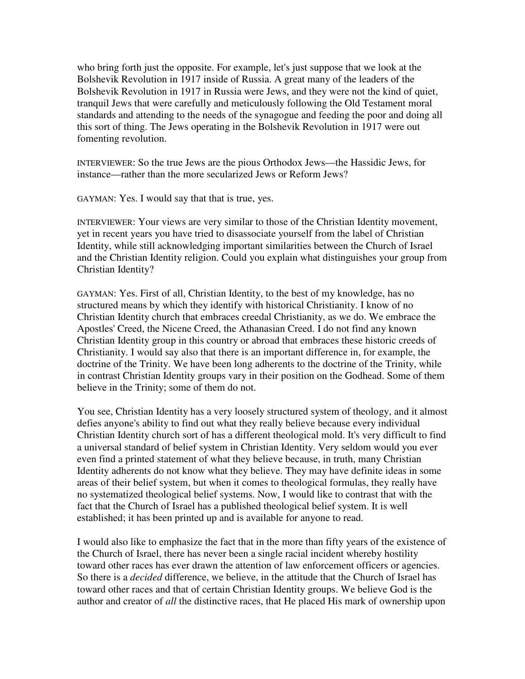who bring forth just the opposite. For example, let's just suppose that we look at the Bolshevik Revolution in 1917 inside of Russia. A great many of the leaders of the Bolshevik Revolution in 1917 in Russia were Jews, and they were not the kind of quiet, tranquil Jews that were carefully and meticulously following the Old Testament moral standards and attending to the needs of the synagogue and feeding the poor and doing all this sort of thing. The Jews operating in the Bolshevik Revolution in 1917 were out fomenting revolution.

INTERVIEWER: So the true Jews are the pious Orthodox Jews—the Hassidic Jews, for instance—rather than the more secularized Jews or Reform Jews?

GAYMAN: Yes. I would say that that is true, yes.

INTERVIEWER: Your views are very similar to those of the Christian Identity movement, yet in recent years you have tried to disassociate yourself from the label of Christian Identity, while still acknowledging important similarities between the Church of Israel and the Christian Identity religion. Could you explain what distinguishes your group from Christian Identity?

GAYMAN: Yes. First of all, Christian Identity, to the best of my knowledge, has no structured means by which they identify with historical Christianity. I know of no Christian Identity church that embraces creedal Christianity, as we do. We embrace the Apostles' Creed, the Nicene Creed, the Athanasian Creed. I do not find any known Christian Identity group in this country or abroad that embraces these historic creeds of Christianity. I would say also that there is an important difference in, for example, the doctrine of the Trinity. We have been long adherents to the doctrine of the Trinity, while in contrast Christian Identity groups vary in their position on the Godhead. Some of them believe in the Trinity; some of them do not.

You see, Christian Identity has a very loosely structured system of theology, and it almost defies anyone's ability to find out what they really believe because every individual Christian Identity church sort of has a different theological mold. It's very difficult to find a universal standard of belief system in Christian Identity. Very seldom would you ever even find a printed statement of what they believe because, in truth, many Christian Identity adherents do not know what they believe. They may have definite ideas in some areas of their belief system, but when it comes to theological formulas, they really have no systematized theological belief systems. Now, I would like to contrast that with the fact that the Church of Israel has a published theological belief system. It is well established; it has been printed up and is available for anyone to read.

I would also like to emphasize the fact that in the more than fifty years of the existence of the Church of Israel, there has never been a single racial incident whereby hostility toward other races has ever drawn the attention of law enforcement officers or agencies. So there is a *decided* difference, we believe, in the attitude that the Church of Israel has toward other races and that of certain Christian Identity groups. We believe God is the author and creator of *all* the distinctive races, that He placed His mark of ownership upon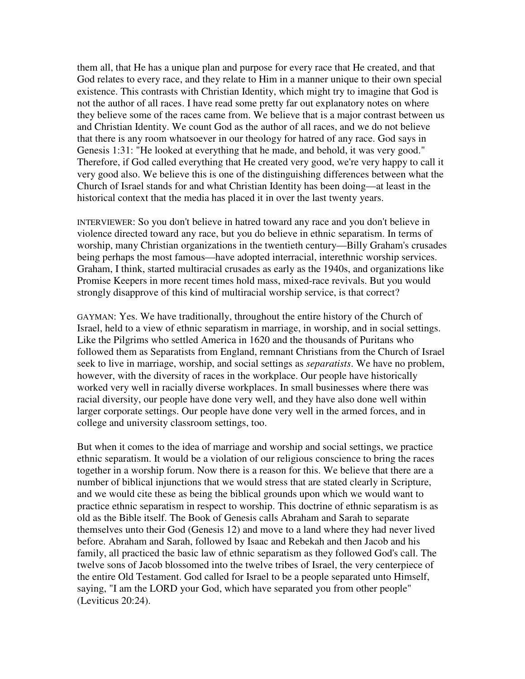them all, that He has a unique plan and purpose for every race that He created, and that God relates to every race, and they relate to Him in a manner unique to their own special existence. This contrasts with Christian Identity, which might try to imagine that God is not the author of all races. I have read some pretty far out explanatory notes on where they believe some of the races came from. We believe that is a major contrast between us and Christian Identity. We count God as the author of all races, and we do not believe that there is any room whatsoever in our theology for hatred of any race. God says in Genesis 1:31: "He looked at everything that he made, and behold, it was very good." Therefore, if God called everything that He created very good, we're very happy to call it very good also. We believe this is one of the distinguishing differences between what the Church of Israel stands for and what Christian Identity has been doing—at least in the historical context that the media has placed it in over the last twenty years.

INTERVIEWER: So you don't believe in hatred toward any race and you don't believe in violence directed toward any race, but you do believe in ethnic separatism. In terms of worship, many Christian organizations in the twentieth century—Billy Graham's crusades being perhaps the most famous—have adopted interracial, interethnic worship services. Graham, I think, started multiracial crusades as early as the 1940s, and organizations like Promise Keepers in more recent times hold mass, mixed-race revivals. But you would strongly disapprove of this kind of multiracial worship service, is that correct?

GAYMAN: Yes. We have traditionally, throughout the entire history of the Church of Israel, held to a view of ethnic separatism in marriage, in worship, and in social settings. Like the Pilgrims who settled America in 1620 and the thousands of Puritans who followed them as Separatists from England, remnant Christians from the Church of Israel seek to live in marriage, worship, and social settings as *separatists*. We have no problem, however, with the diversity of races in the workplace. Our people have historically worked very well in racially diverse workplaces. In small businesses where there was racial diversity, our people have done very well, and they have also done well within larger corporate settings. Our people have done very well in the armed forces, and in college and university classroom settings, too.

But when it comes to the idea of marriage and worship and social settings, we practice ethnic separatism. It would be a violation of our religious conscience to bring the races together in a worship forum. Now there is a reason for this. We believe that there are a number of biblical injunctions that we would stress that are stated clearly in Scripture, and we would cite these as being the biblical grounds upon which we would want to practice ethnic separatism in respect to worship. This doctrine of ethnic separatism is as old as the Bible itself. The Book of Genesis calls Abraham and Sarah to separate themselves unto their God (Genesis 12) and move to a land where they had never lived before. Abraham and Sarah, followed by Isaac and Rebekah and then Jacob and his family, all practiced the basic law of ethnic separatism as they followed God's call. The twelve sons of Jacob blossomed into the twelve tribes of Israel, the very centerpiece of the entire Old Testament. God called for Israel to be a people separated unto Himself, saying, "I am the LORD your God, which have separated you from other people" (Leviticus 20:24).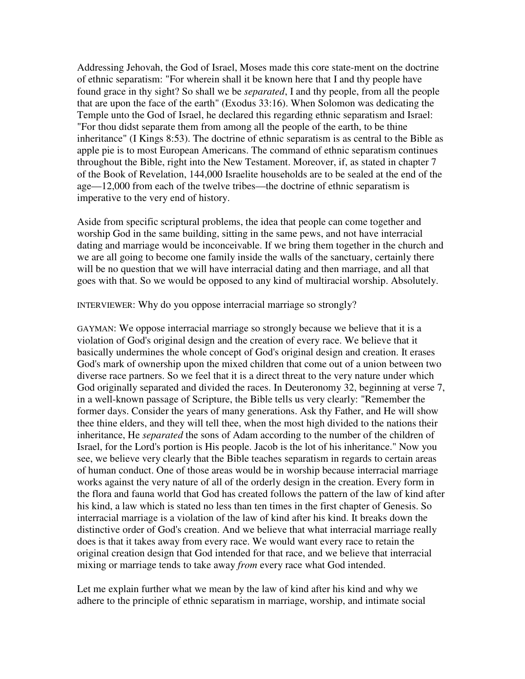Addressing Jehovah, the God of Israel, Moses made this core state-ment on the doctrine of ethnic separatism: "For wherein shall it be known here that I and thy people have found grace in thy sight? So shall we be *separated*, I and thy people, from all the people that are upon the face of the earth" (Exodus 33:16). When Solomon was dedicating the Temple unto the God of Israel, he declared this regarding ethnic separatism and Israel: "For thou didst separate them from among all the people of the earth, to be thine inheritance" (I Kings 8:53). The doctrine of ethnic separatism is as central to the Bible as apple pie is to most European Americans. The command of ethnic separatism continues throughout the Bible, right into the New Testament. Moreover, if, as stated in chapter 7 of the Book of Revelation, 144,000 Israelite households are to be sealed at the end of the age—12,000 from each of the twelve tribes—the doctrine of ethnic separatism is imperative to the very end of history.

Aside from specific scriptural problems, the idea that people can come together and worship God in the same building, sitting in the same pews, and not have interracial dating and marriage would be inconceivable. If we bring them together in the church and we are all going to become one family inside the walls of the sanctuary, certainly there will be no question that we will have interracial dating and then marriage, and all that goes with that. So we would be opposed to any kind of multiracial worship. Absolutely.

INTERVIEWER: Why do you oppose interracial marriage so strongly?

GAYMAN: We oppose interracial marriage so strongly because we believe that it is a violation of God's original design and the creation of every race. We believe that it basically undermines the whole concept of God's original design and creation. It erases God's mark of ownership upon the mixed children that come out of a union between two diverse race partners. So we feel that it is a direct threat to the very nature under which God originally separated and divided the races. In Deuteronomy 32, beginning at verse 7, in a well-known passage of Scripture, the Bible tells us very clearly: "Remember the former days. Consider the years of many generations. Ask thy Father, and He will show thee thine elders, and they will tell thee, when the most high divided to the nations their inheritance, He *separated* the sons of Adam according to the number of the children of Israel, for the Lord's portion is His people. Jacob is the lot of his inheritance." Now you see, we believe very clearly that the Bible teaches separatism in regards to certain areas of human conduct. One of those areas would be in worship because interracial marriage works against the very nature of all of the orderly design in the creation. Every form in the flora and fauna world that God has created follows the pattern of the law of kind after his kind, a law which is stated no less than ten times in the first chapter of Genesis. So interracial marriage is a violation of the law of kind after his kind. It breaks down the distinctive order of God's creation. And we believe that what interracial marriage really does is that it takes away from every race. We would want every race to retain the original creation design that God intended for that race, and we believe that interracial mixing or marriage tends to take away *from* every race what God intended.

Let me explain further what we mean by the law of kind after his kind and why we adhere to the principle of ethnic separatism in marriage, worship, and intimate social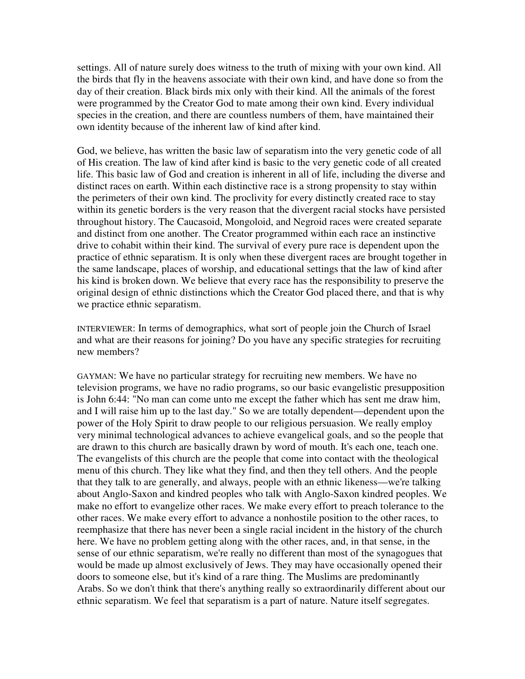settings. All of nature surely does witness to the truth of mixing with your own kind. All the birds that fly in the heavens associate with their own kind, and have done so from the day of their creation. Black birds mix only with their kind. All the animals of the forest were programmed by the Creator God to mate among their own kind. Every individual species in the creation, and there are countless numbers of them, have maintained their own identity because of the inherent law of kind after kind.

God, we believe, has written the basic law of separatism into the very genetic code of all of His creation. The law of kind after kind is basic to the very genetic code of all created life. This basic law of God and creation is inherent in all of life, including the diverse and distinct races on earth. Within each distinctive race is a strong propensity to stay within the perimeters of their own kind. The proclivity for every distinctly created race to stay within its genetic borders is the very reason that the divergent racial stocks have persisted throughout history. The Caucasoid, Mongoloid, and Negroid races were created separate and distinct from one another. The Creator programmed within each race an instinctive drive to cohabit within their kind. The survival of every pure race is dependent upon the practice of ethnic separatism. It is only when these divergent races are brought together in the same landscape, places of worship, and educational settings that the law of kind after his kind is broken down. We believe that every race has the responsibility to preserve the original design of ethnic distinctions which the Creator God placed there, and that is why we practice ethnic separatism.

INTERVIEWER: In terms of demographics, what sort of people join the Church of Israel and what are their reasons for joining? Do you have any specific strategies for recruiting new members?

GAYMAN: We have no particular strategy for recruiting new members. We have no television programs, we have no radio programs, so our basic evangelistic presupposition is John 6:44: "No man can come unto me except the father which has sent me draw him, and I will raise him up to the last day." So we are totally dependent—dependent upon the power of the Holy Spirit to draw people to our religious persuasion. We really employ very minimal technological advances to achieve evangelical goals, and so the people that are drawn to this church are basically drawn by word of mouth. It's each one, teach one. The evangelists of this church are the people that come into contact with the theological menu of this church. They like what they find, and then they tell others. And the people that they talk to are generally, and always, people with an ethnic likeness—we're talking about Anglo-Saxon and kindred peoples who talk with Anglo-Saxon kindred peoples. We make no effort to evangelize other races. We make every effort to preach tolerance to the other races. We make every effort to advance a nonhostile position to the other races, to reemphasize that there has never been a single racial incident in the history of the church here. We have no problem getting along with the other races, and, in that sense, in the sense of our ethnic separatism, we're really no different than most of the synagogues that would be made up almost exclusively of Jews. They may have occasionally opened their doors to someone else, but it's kind of a rare thing. The Muslims are predominantly Arabs. So we don't think that there's anything really so extraordinarily different about our ethnic separatism. We feel that separatism is a part of nature. Nature itself segregates.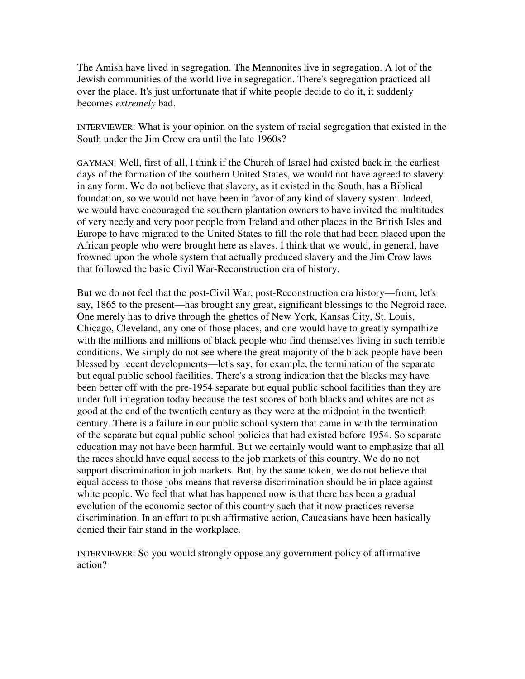The Amish have lived in segregation. The Mennonites live in segregation. A lot of the Jewish communities of the world live in segregation. There's segregation practiced all over the place. It's just unfortunate that if white people decide to do it, it suddenly becomes *extremely* bad.

INTERVIEWER: What is your opinion on the system of racial segregation that existed in the South under the Jim Crow era until the late 1960s?

GAYMAN: Well, first of all, I think if the Church of Israel had existed back in the earliest days of the formation of the southern United States, we would not have agreed to slavery in any form. We do not believe that slavery, as it existed in the South, has a Biblical foundation, so we would not have been in favor of any kind of slavery system. Indeed, we would have encouraged the southern plantation owners to have invited the multitudes of very needy and very poor people from Ireland and other places in the British Isles and Europe to have migrated to the United States to fill the role that had been placed upon the African people who were brought here as slaves. I think that we would, in general, have frowned upon the whole system that actually produced slavery and the Jim Crow laws that followed the basic Civil War-Reconstruction era of history.

But we do not feel that the post-Civil War, post-Reconstruction era history—from, let's say, 1865 to the present—has brought any great, significant blessings to the Negroid race. One merely has to drive through the ghettos of New York, Kansas City, St. Louis, Chicago, Cleveland, any one of those places, and one would have to greatly sympathize with the millions and millions of black people who find themselves living in such terrible conditions. We simply do not see where the great majority of the black people have been blessed by recent developments—let's say, for example, the termination of the separate but equal public school facilities. There's a strong indication that the blacks may have been better off with the pre-1954 separate but equal public school facilities than they are under full integration today because the test scores of both blacks and whites are not as good at the end of the twentieth century as they were at the midpoint in the twentieth century. There is a failure in our public school system that came in with the termination of the separate but equal public school policies that had existed before 1954. So separate education may not have been harmful. But we certainly would want to emphasize that all the races should have equal access to the job markets of this country. We do no not support discrimination in job markets. But, by the same token, we do not believe that equal access to those jobs means that reverse discrimination should be in place against white people. We feel that what has happened now is that there has been a gradual evolution of the economic sector of this country such that it now practices reverse discrimination. In an effort to push affirmative action, Caucasians have been basically denied their fair stand in the workplace.

INTERVIEWER: So you would strongly oppose any government policy of affirmative action?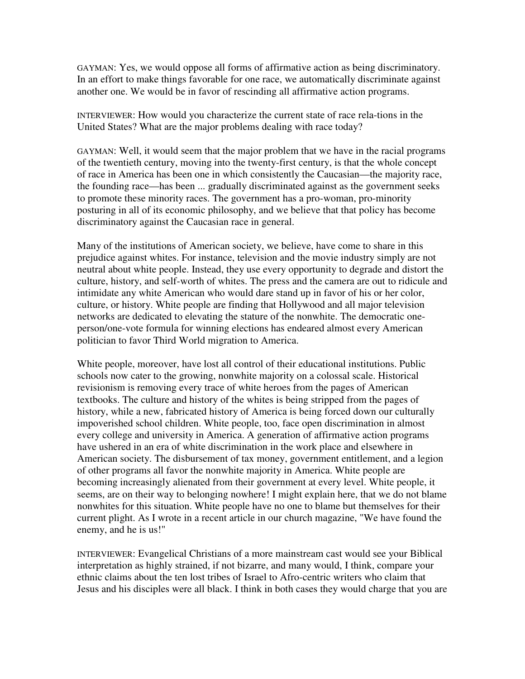GAYMAN: Yes, we would oppose all forms of affirmative action as being discriminatory. In an effort to make things favorable for one race, we automatically discriminate against another one. We would be in favor of rescinding all affirmative action programs.

INTERVIEWER: How would you characterize the current state of race rela-tions in the United States? What are the major problems dealing with race today?

GAYMAN: Well, it would seem that the major problem that we have in the racial programs of the twentieth century, moving into the twenty-first century, is that the whole concept of race in America has been one in which consistently the Caucasian—the majority race, the founding race—has been ... gradually discriminated against as the government seeks to promote these minority races. The government has a pro-woman, pro-minority posturing in all of its economic philosophy, and we believe that that policy has become discriminatory against the Caucasian race in general.

Many of the institutions of American society, we believe, have come to share in this prejudice against whites. For instance, television and the movie industry simply are not neutral about white people. Instead, they use every opportunity to degrade and distort the culture, history, and self-worth of whites. The press and the camera are out to ridicule and intimidate any white American who would dare stand up in favor of his or her color, culture, or history. White people are finding that Hollywood and all major television networks are dedicated to elevating the stature of the nonwhite. The democratic oneperson/one-vote formula for winning elections has endeared almost every American politician to favor Third World migration to America.

White people, moreover, have lost all control of their educational institutions. Public schools now cater to the growing, nonwhite majority on a colossal scale. Historical revisionism is removing every trace of white heroes from the pages of American textbooks. The culture and history of the whites is being stripped from the pages of history, while a new, fabricated history of America is being forced down our culturally impoverished school children. White people, too, face open discrimination in almost every college and university in America. A generation of affirmative action programs have ushered in an era of white discrimination in the work place and elsewhere in American society. The disbursement of tax money, government entitlement, and a legion of other programs all favor the nonwhite majority in America. White people are becoming increasingly alienated from their government at every level. White people, it seems, are on their way to belonging nowhere! I might explain here, that we do not blame nonwhites for this situation. White people have no one to blame but themselves for their current plight. As I wrote in a recent article in our church magazine, "We have found the enemy, and he is us!"

INTERVIEWER: Evangelical Christians of a more mainstream cast would see your Biblical interpretation as highly strained, if not bizarre, and many would, I think, compare your ethnic claims about the ten lost tribes of Israel to Afro-centric writers who claim that Jesus and his disciples were all black. I think in both cases they would charge that you are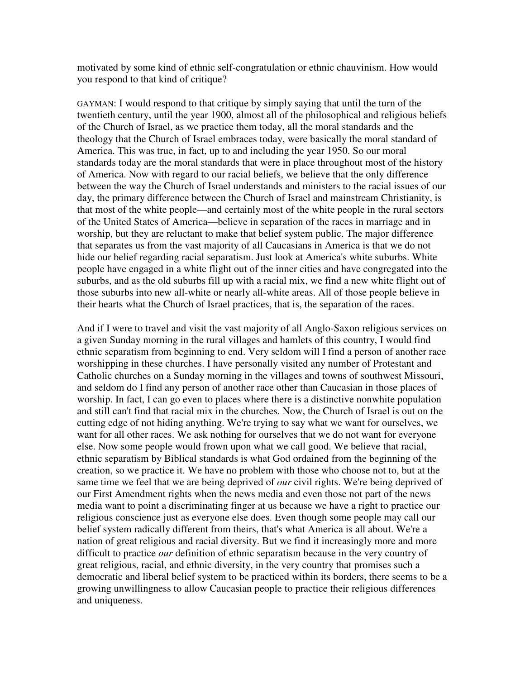motivated by some kind of ethnic self-congratulation or ethnic chauvinism. How would you respond to that kind of critique?

GAYMAN: I would respond to that critique by simply saying that until the turn of the twentieth century, until the year 1900, almost all of the philosophical and religious beliefs of the Church of Israel, as we practice them today, all the moral standards and the theology that the Church of Israel embraces today, were basically the moral standard of America. This was true, in fact, up to and including the year 1950. So our moral standards today are the moral standards that were in place throughout most of the history of America. Now with regard to our racial beliefs, we believe that the only difference between the way the Church of Israel understands and ministers to the racial issues of our day, the primary difference between the Church of Israel and mainstream Christianity, is that most of the white people—and certainly most of the white people in the rural sectors of the United States of America—believe in separation of the races in marriage and in worship, but they are reluctant to make that belief system public. The major difference that separates us from the vast majority of all Caucasians in America is that we do not hide our belief regarding racial separatism. Just look at America's white suburbs. White people have engaged in a white flight out of the inner cities and have congregated into the suburbs, and as the old suburbs fill up with a racial mix, we find a new white flight out of those suburbs into new all-white or nearly all-white areas. All of those people believe in their hearts what the Church of Israel practices, that is, the separation of the races.

And if I were to travel and visit the vast majority of all Anglo-Saxon religious services on a given Sunday morning in the rural villages and hamlets of this country, I would find ethnic separatism from beginning to end. Very seldom will I find a person of another race worshipping in these churches. I have personally visited any number of Protestant and Catholic churches on a Sunday morning in the villages and towns of southwest Missouri, and seldom do I find any person of another race other than Caucasian in those places of worship. In fact, I can go even to places where there is a distinctive nonwhite population and still can't find that racial mix in the churches. Now, the Church of Israel is out on the cutting edge of not hiding anything. We're trying to say what we want for ourselves, we want for all other races. We ask nothing for ourselves that we do not want for everyone else. Now some people would frown upon what we call good. We believe that racial, ethnic separatism by Biblical standards is what God ordained from the beginning of the creation, so we practice it. We have no problem with those who choose not to, but at the same time we feel that we are being deprived of *our* civil rights. We're being deprived of our First Amendment rights when the news media and even those not part of the news media want to point a discriminating finger at us because we have a right to practice our religious conscience just as everyone else does. Even though some people may call our belief system radically different from theirs, that's what America is all about. We're a nation of great religious and racial diversity. But we find it increasingly more and more difficult to practice *our* definition of ethnic separatism because in the very country of great religious, racial, and ethnic diversity, in the very country that promises such a democratic and liberal belief system to be practiced within its borders, there seems to be a growing unwillingness to allow Caucasian people to practice their religious differences and uniqueness.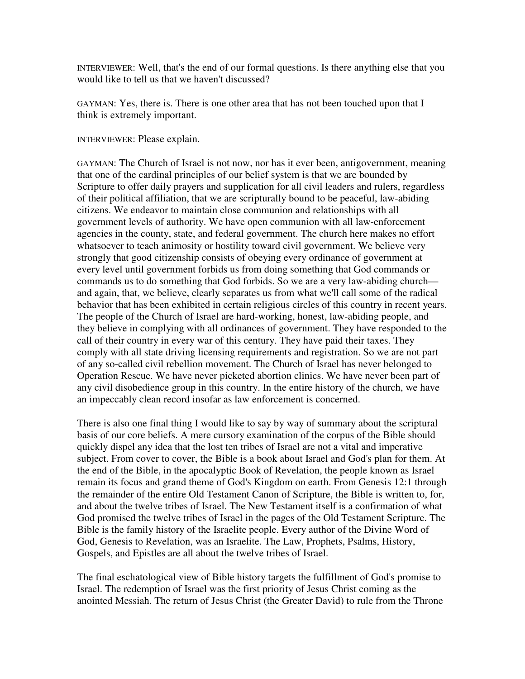INTERVIEWER: Well, that's the end of our formal questions. Is there anything else that you would like to tell us that we haven't discussed?

GAYMAN: Yes, there is. There is one other area that has not been touched upon that I think is extremely important.

INTERVIEWER: Please explain.

GAYMAN: The Church of Israel is not now, nor has it ever been, antigovernment, meaning that one of the cardinal principles of our belief system is that we are bounded by Scripture to offer daily prayers and supplication for all civil leaders and rulers, regardless of their political affiliation, that we are scripturally bound to be peaceful, law-abiding citizens. We endeavor to maintain close communion and relationships with all government levels of authority. We have open communion with all law-enforcement agencies in the county, state, and federal government. The church here makes no effort whatsoever to teach animosity or hostility toward civil government. We believe very strongly that good citizenship consists of obeying every ordinance of government at every level until government forbids us from doing something that God commands or commands us to do something that God forbids. So we are a very law-abiding church and again, that, we believe, clearly separates us from what we'll call some of the radical behavior that has been exhibited in certain religious circles of this country in recent years. The people of the Church of Israel are hard-working, honest, law-abiding people, and they believe in complying with all ordinances of government. They have responded to the call of their country in every war of this century. They have paid their taxes. They comply with all state driving licensing requirements and registration. So we are not part of any so-called civil rebellion movement. The Church of Israel has never belonged to Operation Rescue. We have never picketed abortion clinics. We have never been part of any civil disobedience group in this country. In the entire history of the church, we have an impeccably clean record insofar as law enforcement is concerned.

There is also one final thing I would like to say by way of summary about the scriptural basis of our core beliefs. A mere cursory examination of the corpus of the Bible should quickly dispel any idea that the lost ten tribes of Israel are not a vital and imperative subject. From cover to cover, the Bible is a book about Israel and God's plan for them. At the end of the Bible, in the apocalyptic Book of Revelation, the people known as Israel remain its focus and grand theme of God's Kingdom on earth. From Genesis 12:1 through the remainder of the entire Old Testament Canon of Scripture, the Bible is written to, for, and about the twelve tribes of Israel. The New Testament itself is a confirmation of what God promised the twelve tribes of Israel in the pages of the Old Testament Scripture. The Bible is the family history of the Israelite people. Every author of the Divine Word of God, Genesis to Revelation, was an Israelite. The Law, Prophets, Psalms, History, Gospels, and Epistles are all about the twelve tribes of Israel.

The final eschatological view of Bible history targets the fulfillment of God's promise to Israel. The redemption of Israel was the first priority of Jesus Christ coming as the anointed Messiah. The return of Jesus Christ (the Greater David) to rule from the Throne